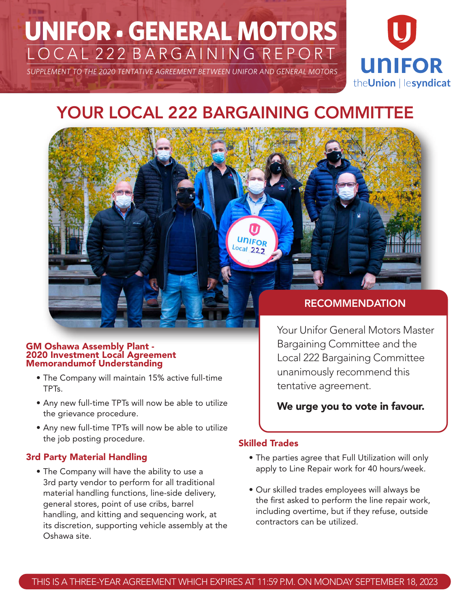# **UNIFOR • GENERAL MOTORS** LOCAL 222 BARGAINING REPORT

*SUPPLEMENT TO THE 2020 TENTATIVE AGREEMENT BETWEEN UNIFOR AND GENERAL MOTORS*



# YOUR LOCAL 222 BARGAINING COMMITTEE

UNIFOR  $Local222$ 

#### GM Oshawa Assembly Plant - 2020 Investment Local Agreement Memorandumof Understanding

- The Company will maintain 15% active full-time TPTs.
- Any new full-time TPTs will now be able to utilize the grievance procedure.
- Any new full-time TPTs will now be able to utilize the job posting procedure.

# 3rd Party Material Handling

• The Company will have the ability to use a 3rd party vendor to perform for all traditional material handling functions, line-side delivery, general stores, point of use cribs, barrel handling, and kitting and sequencing work, at its discretion, supporting vehicle assembly at the Oshawa site.

# RECOMMENDATION

Your Unifor General Motors Master Bargaining Committee and the Local 222 Bargaining Committee unanimously recommend this tentative agreement.

# We urge you to vote in favour.

# Skilled Trades

- The parties agree that Full Utilization will only apply to Line Repair work for 40 hours/week.
- Our skilled trades employees will always be the first asked to perform the line repair work, including overtime, but if they refuse, outside contractors can be utilized.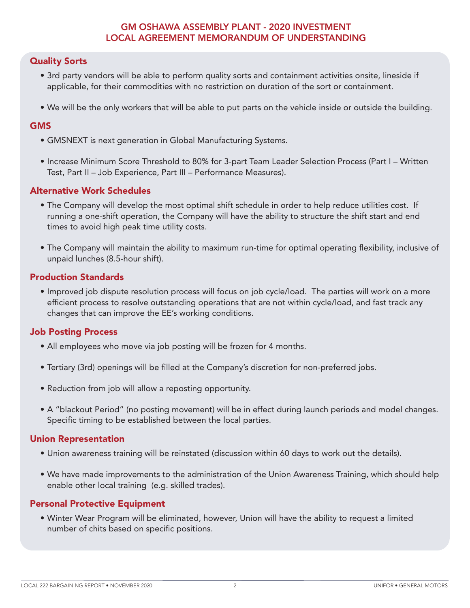#### GM OSHAWA ASSEMBLY PLANT - 2020 INVESTMENT LOCAL AGREEMENT MEMORANDUM OF UNDERSTANDING

#### Quality Sorts

- 3rd party vendors will be able to perform quality sorts and containment activities onsite, lineside if applicable, for their commodities with no restriction on duration of the sort or containment.
- We will be the only workers that will be able to put parts on the vehicle inside or outside the building.

#### GMS

- GMSNEXT is next generation in Global Manufacturing Systems.
- Increase Minimum Score Threshold to 80% for 3-part Team Leader Selection Process (Part I Written Test, Part II – Job Experience, Part III – Performance Measures).

#### Alternative Work Schedules

- The Company will develop the most optimal shift schedule in order to help reduce utilities cost. If running a one-shift operation, the Company will have the ability to structure the shift start and end times to avoid high peak time utility costs.
- The Company will maintain the ability to maximum run-time for optimal operating flexibility, inclusive of unpaid lunches (8.5-hour shift).

#### Production Standards

• Improved job dispute resolution process will focus on job cycle/load. The parties will work on a more efficient process to resolve outstanding operations that are not within cycle/load, and fast track any changes that can improve the EE's working conditions.

#### Job Posting Process

- All employees who move via job posting will be frozen for 4 months.
- Tertiary (3rd) openings will be filled at the Company's discretion for non-preferred jobs.
- Reduction from job will allow a reposting opportunity.
- A "blackout Period" (no posting movement) will be in effect during launch periods and model changes. Specific timing to be established between the local parties.

#### Union Representation

- Union awareness training will be reinstated (discussion within 60 days to work out the details).
- We have made improvements to the administration of the Union Awareness Training, which should help enable other local training (e.g. skilled trades).

#### Personal Protective Equipment

• Winter Wear Program will be eliminated, however, Union will have the ability to request a limited number of chits based on specific positions.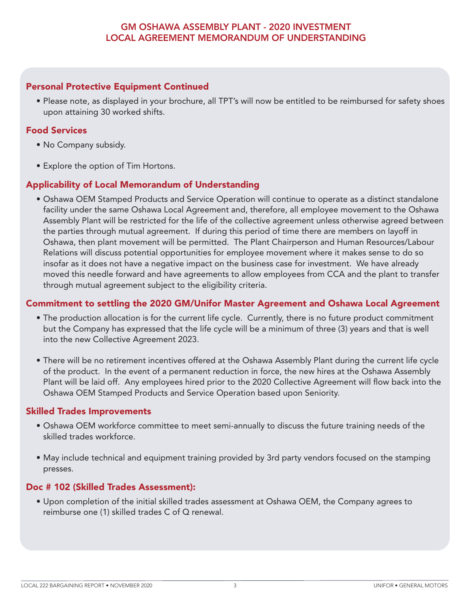## GM OSHAWA ASSEMBLY PLANT - 2020 INVESTMENT LOCAL AGREEMENT MEMORANDUM OF UNDERSTANDING

#### Personal Protective Equipment Continued

• Please note, as displayed in your brochure, all TPT's will now be entitled to be reimbursed for safety shoes upon attaining 30 worked shifts.

#### Food Services

- No Company subsidy.
- Explore the option of Tim Hortons.

#### Applicability of Local Memorandum of Understanding

• Oshawa OEM Stamped Products and Service Operation will continue to operate as a distinct standalone facility under the same Oshawa Local Agreement and, therefore, all employee movement to the Oshawa Assembly Plant will be restricted for the life of the collective agreement unless otherwise agreed between the parties through mutual agreement. If during this period of time there are members on layoff in Oshawa, then plant movement will be permitted. The Plant Chairperson and Human Resources/Labour Relations will discuss potential opportunities for employee movement where it makes sense to do so insofar as it does not have a negative impact on the business case for investment. We have already moved this needle forward and have agreements to allow employees from CCA and the plant to transfer through mutual agreement subject to the eligibility criteria.

#### Commitment to settling the 2020 GM/Unifor Master Agreement and Oshawa Local Agreement

- The production allocation is for the current life cycle. Currently, there is no future product commitment but the Company has expressed that the life cycle will be a minimum of three (3) years and that is well into the new Collective Agreement 2023.
- There will be no retirement incentives offered at the Oshawa Assembly Plant during the current life cycle of the product. In the event of a permanent reduction in force, the new hires at the Oshawa Assembly Plant will be laid off. Any employees hired prior to the 2020 Collective Agreement will flow back into the Oshawa OEM Stamped Products and Service Operation based upon Seniority.

#### Skilled Trades Improvements

- Oshawa OEM workforce committee to meet semi-annually to discuss the future training needs of the skilled trades workforce.
- May include technical and equipment training provided by 3rd party vendors focused on the stamping presses.

#### Doc # 102 (Skilled Trades Assessment):

• Upon completion of the initial skilled trades assessment at Oshawa OEM, the Company agrees to reimburse one (1) skilled trades C of Q renewal.